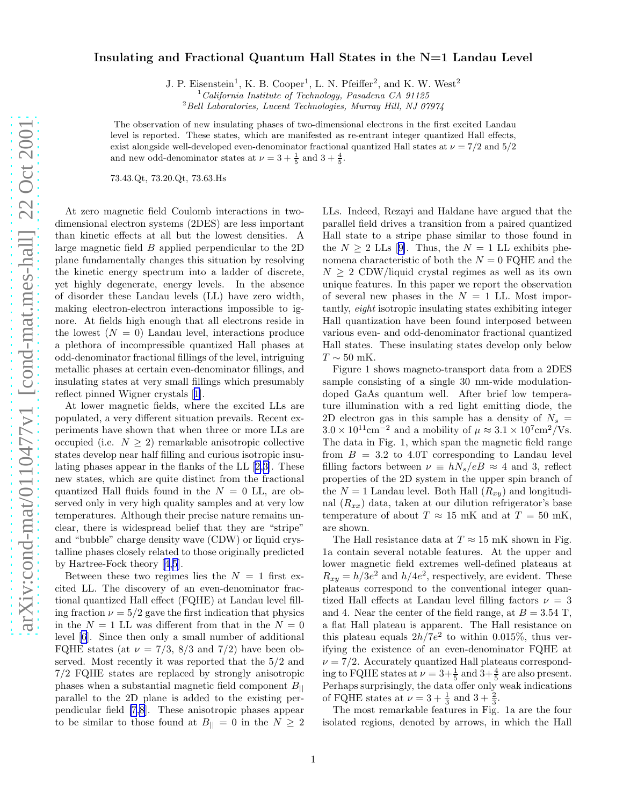## Insulating and Fractional Quantum Hall States in the N=1 Landau Level

J. P. Eisenstein<sup>1</sup>, K. B. Cooper<sup>1</sup>, L. N. Pfeiffer<sup>2</sup>, and K. W. West<sup>2</sup>

 $1$  California Institute of Technology, Pasadena CA 91125

 $^{2}$ Bell Laboratories, Lucent Technologies, Murray Hill, NJ 07974

The observation of new insulating phases of two-dimensional electrons in the first excited Landau level is reported. These states, which are manifested as re-entrant integer quantized Hall effects, exist alongside well-developed even-denominator fractional quantized Hall states at  $\nu = 7/2$  and  $5/2$ and new odd-denominator states at  $\nu = 3 + \frac{1}{5}$  and  $3 + \frac{4}{5}$ .

73.43.Qt, 73.20.Qt, 73.63.Hs

At zero magnetic field Coulomb interactions in twodimensional electron systems (2DES) are less important than kinetic effects at all but the lowest densities. A large magnetic field B applied perpendicular to the 2D plane fundamentally changes this situation by resolving the kinetic energy spectrum into a ladder of discrete, yet highly degenerate, energy levels. In the absence of disorder these Landau levels (LL) have zero width, making electron-electron interactions impossible to ignore. At fields high enough that all electrons reside in the lowest  $(N = 0)$  Landau level, interactions produce a plethora of incompressible quantized Hall phases at odd-denominator fractional fillings of the level, intriguing metallic phases at certain even-denominator fillings, and insulating states at very small fillings which presumably reflect pinned Wigner crystals[[1\]](#page-3-0).

At lower magnetic fields, where the excited LLs are populated, a very different situation prevails. Recent experiments have shown that when three or more LLs are occupied (i.e.  $N \geq 2$ ) remarkable anisotropic collective states develop near half filling and curious isotropic insulating phases appear in the flanks of the LL[[2,3\]](#page-3-0). These new states, which are quite distinct from the fractional quantized Hall fluids found in the  $N = 0$  LL, are observed only in very high quality samples and at very low temperatures. Although their precise nature remains unclear, there is widespread belief that they are "stripe" and "bubble" charge density wave (CDW) or liquid crystalline phases closely related to those originally predicted by Hartree-Fock theory[[4,5\]](#page-3-0).

Between these two regimes lies the  $N = 1$  first excited LL. The discovery of an even-denominator fractional quantized Hall effect (FQHE) at Landau level filling fraction  $\nu = 5/2$  gave the first indication that physics in the  $N = 1$  LL was different from that in the  $N = 0$ level [\[6](#page-3-0)]. Since then only a small number of additional FQHE states (at  $\nu = 7/3$ , 8/3 and 7/2) have been observed. Most recently it was reported that the 5/2 and 7/2 FQHE states are replaced by strongly anisotropic phases when a substantial magnetic field component  $B_{\parallel}$ parallel to the 2D plane is added to the existing perpendicular field [\[7,8](#page-3-0)]. These anisotropic phases appear to be similar to those found at  $B_{\parallel} = 0$  in the  $N \geq 2$ 

LLs. Indeed, Rezayi and Haldane have argued that the parallel field drives a transition from a paired quantized Hall state to a stripe phase similar to those found in the $N > 2$  LLs [[9\]](#page-3-0). Thus, the  $N = 1$  LL exhibits phenomena characteristic of both the  $N = 0$  FQHE and the  $N \geq 2$  CDW/liquid crystal regimes as well as its own unique features. In this paper we report the observation of several new phases in the  $N = 1$  LL. Most importantly, eight isotropic insulating states exhibiting integer Hall quantization have been found interposed between various even- and odd-denominator fractional quantized Hall states. These insulating states develop only below  $T \sim 50$  mK.

Figure 1 shows magneto-transport data from a 2DES sample consisting of a single 30 nm-wide modulationdoped GaAs quantum well. After brief low temperature illumination with a red light emitting diode, the 2D electron gas in this sample has a density of  $N_s =$  $3.0 \times 10^{11} \text{cm}^{-2}$  and a mobility of  $\mu \approx 3.1 \times 10^{7} \text{cm}^{2}/\text{Vs}.$ The data in Fig. 1, which span the magnetic field range from  $B = 3.2$  to 4.0T corresponding to Landau level filling factors between  $\nu \equiv hN_s/eB \approx 4$  and 3, reflect properties of the 2D system in the upper spin branch of the  $N = 1$  Landau level. Both Hall  $(R_{xy})$  and longitudinal  $(R_{xx})$  data, taken at our dilution refrigerator's base temperature of about  $T \approx 15$  mK and at  $T = 50$  mK, are shown.

The Hall resistance data at  $T \approx 15$  mK shown in Fig. 1a contain several notable features. At the upper and lower magnetic field extremes well-defined plateaus at  $R_{xy} = h/3e^2$  and  $h/4e^2$ , respectively, are evident. These plateaus correspond to the conventional integer quantized Hall effects at Landau level filling factors  $\nu = 3$ and 4. Near the center of the field range, at  $B = 3.54$  T, a flat Hall plateau is apparent. The Hall resistance on this plateau equals  $2h/7e^2$  to within 0.015%, thus verifying the existence of an even-denominator FQHE at  $\nu = \frac{7}{2}$ . Accurately quantized Hall plateaus corresponding to FQHE states at  $\nu = 3 + \frac{1}{5}$  and  $3 + \frac{4}{5}$  are also present. Perhaps surprisingly, the data offer only weak indications of FQHE states at  $\nu = 3 + \frac{1}{3}$  and  $3 + \frac{2}{3}$ .

The most remarkable features in Fig. 1a are the four isolated regions, denoted by arrows, in which the Hall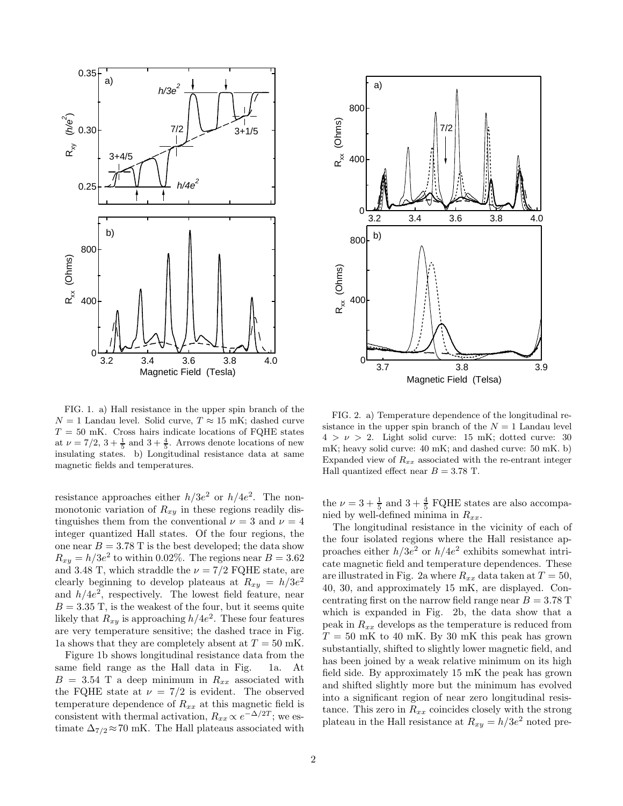

FIG. 1. a) Hall resistance in the upper spin branch of the  $N = 1$  Landau level. Solid curve,  $T \approx 15$  mK; dashed curve  $T = 50$  mK. Cross hairs indicate locations of FQHE states at  $\nu = 7/2$ ,  $3 + \frac{1}{5}$  and  $3 + \frac{4}{5}$ . Arrows denote locations of new insulating states. b) Longitudinal resistance data at same magnetic fields and temperatures.

resistance approaches either  $h/3e^2$  or  $h/4e^2$ . The nonmonotonic variation of  $R_{xy}$  in these regions readily distinguishes them from the conventional  $\nu = 3$  and  $\nu = 4$ integer quantized Hall states. Of the four regions, the one near  $B = 3.78$  T is the best developed; the data show  $R_{xy} = h/3e^2$  to within 0.02%. The regions near  $B = 3.62$ and 3.48 T, which straddle the  $\nu = 7/2$  FQHE state, are clearly beginning to develop plateaus at  $R_{xy} = h/3e^2$ and  $h/4e^2$ , respectively. The lowest field feature, near  $B = 3.35$  T, is the weakest of the four, but it seems quite likely that  $R_{xy}$  is approaching  $h/4e^2$ . These four features are very temperature sensitive; the dashed trace in Fig. 1a shows that they are completely absent at  $T = 50$  mK.

Figure 1b shows longitudinal resistance data from the same field range as the Hall data in Fig. 1a. At  $B = 3.54$  T a deep minimum in  $R_{xx}$  associated with the FQHE state at  $\nu = 7/2$  is evident. The observed temperature dependence of  $R_{xx}$  at this magnetic field is consistent with thermal activation,  $R_{xx} \propto e^{-\Delta/2T}$ ; we estimate  $\Delta_{7/2} \approx 70$  mK. The Hall plateaus associated with



FIG. 2. a) Temperature dependence of the longitudinal resistance in the upper spin branch of the  $N = 1$  Landau level  $4 > \nu > 2$ . Light solid curve: 15 mK; dotted curve: 30 mK; heavy solid curve: 40 mK; and dashed curve: 50 mK. b) Expanded view of  $R_{xx}$  associated with the re-entrant integer Hall quantized effect near  $B = 3.78$  T.

the  $\nu = 3 + \frac{1}{5}$  and  $3 + \frac{4}{5}$  FQHE states are also accompanied by well-defined minima in  $R_{xx}$ .

The longitudinal resistance in the vicinity of each of the four isolated regions where the Hall resistance approaches either  $h/3e^2$  or  $h/4e^2$  exhibits somewhat intricate magnetic field and temperature dependences. These are illustrated in Fig. 2a where  $R_{xx}$  data taken at  $T = 50$ , 40, 30, and approximately 15 mK, are displayed. Concentrating first on the narrow field range near  $B = 3.78$  T which is expanded in Fig. 2b, the data show that a peak in  $R_{xx}$  develops as the temperature is reduced from  $T = 50$  mK to 40 mK. By 30 mK this peak has grown substantially, shifted to slightly lower magnetic field, and has been joined by a weak relative minimum on its high field side. By approximately 15 mK the peak has grown and shifted slightly more but the minimum has evolved into a significant region of near zero longitudinal resistance. This zero in  $R_{xx}$  coincides closely with the strong plateau in the Hall resistance at  $R_{xy} = h/3e^2$  noted pre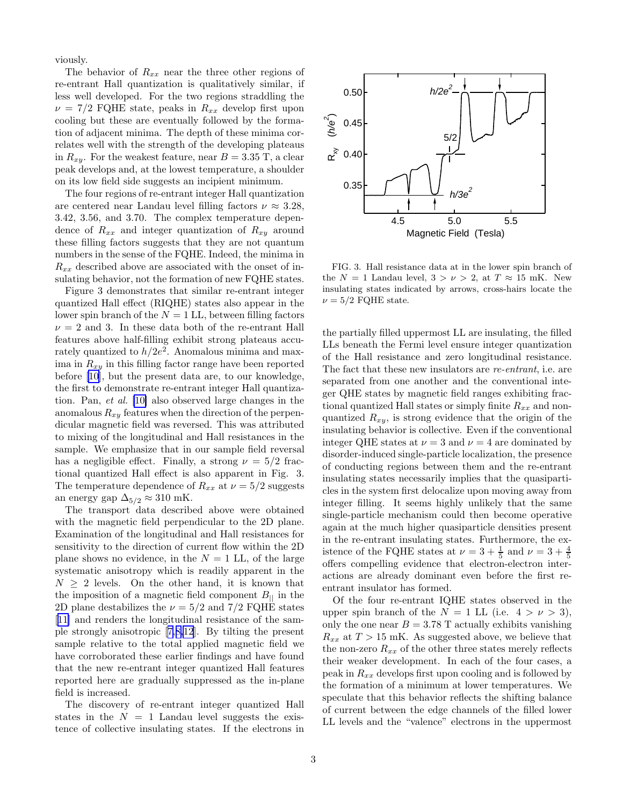viously.

The behavior of  $R_{xx}$  near the three other regions of re-entrant Hall quantization is qualitatively similar, if less well developed. For the two regions straddling the  $\nu = 7/2$  FQHE state, peaks in  $R_{xx}$  develop first upon cooling but these are eventually followed by the formation of adjacent minima. The depth of these minima correlates well with the strength of the developing plateaus in  $R_{xy}$ . For the weakest feature, near  $B = 3.35$  T, a clear peak develops and, at the lowest temperature, a shoulder on its low field side suggests an incipient minimum.

The four regions of re-entrant integer Hall quantization are centered near Landau level filling factors  $\nu \approx 3.28$ , 3.42, 3.56, and 3.70. The complex temperature dependence of  $R_{xx}$  and integer quantization of  $R_{xy}$  around these filling factors suggests that they are not quantum numbers in the sense of the FQHE. Indeed, the minima in  $R_{xx}$  described above are associated with the onset of insulating behavior, not the formation of new FQHE states.

Figure 3 demonstrates that similar re-entrant integer quantized Hall effect (RIQHE) states also appear in the lower spin branch of the  $N = 1$  LL, between filling factors  $\nu = 2$  and 3. In these data both of the re-entrant Hall features above half-filling exhibit strong plateaus accurately quantized to  $h/2e^{\overline{2}}$ . Anomalous minima and maxima in  $R_{xy}$  in this filling factor range have been reported before [\[10](#page-3-0)], but the present data are, to our knowledge, the first to demonstrate re-entrant integer Hall quantization. Pan, et al. [\[10\]](#page-3-0) also observed large changes in the anomalous  $R_{xy}$  features when the direction of the perpendicular magnetic field was reversed. This was attributed to mixing of the longitudinal and Hall resistances in the sample. We emphasize that in our sample field reversal has a negligible effect. Finally, a strong  $\nu = 5/2$  fractional quantized Hall effect is also apparent in Fig. 3. The temperature dependence of  $R_{xx}$  at  $\nu = 5/2$  suggests an energy gap  $\Delta_{5/2} \approx 310$  mK.

The transport data described above were obtained with the magnetic field perpendicular to the 2D plane. Examination of the longitudinal and Hall resistances for sensitivity to the direction of current flow within the 2D plane shows no evidence, in the  $N = 1$  LL, of the large systematic anisotropy which is readily apparent in the  $N \geq 2$  levels. On the other hand, it is known that the imposition of a magnetic field component  $B_{\parallel}$  in the 2D plane destabilizes the  $\nu = 5/2$  and 7/2 FQHE states [[11\]](#page-3-0) and renders the longitudinal resistance of the sample strongly anisotropic[[7,8,12](#page-3-0)]. By tilting the present sample relative to the total applied magnetic field we have corroborated these earlier findings and have found that the new re-entrant integer quantized Hall features reported here are gradually suppressed as the in-plane field is increased.

The discovery of re-entrant integer quantized Hall states in the  $N = 1$  Landau level suggests the existence of collective insulating states. If the electrons in



FIG. 3. Hall resistance data at in the lower spin branch of the  $N = 1$  Landau level,  $3 > \nu > 2$ , at  $T \approx 15$  mK. New insulating states indicated by arrows, cross-hairs locate the  $\nu = 5/2$  FQHE state.

the partially filled uppermost LL are insulating, the filled LLs beneath the Fermi level ensure integer quantization of the Hall resistance and zero longitudinal resistance. The fact that these new insulators are re-entrant, i.e. are separated from one another and the conventional integer QHE states by magnetic field ranges exhibiting fractional quantized Hall states or simply finite  $R_{xx}$  and nonquantized  $R_{xy}$ , is strong evidence that the origin of the insulating behavior is collective. Even if the conventional integer QHE states at  $\nu = 3$  and  $\nu = 4$  are dominated by disorder-induced single-particle localization, the presence of conducting regions between them and the re-entrant insulating states necessarily implies that the quasiparticles in the system first delocalize upon moving away from integer filling. It seems highly unlikely that the same single-particle mechanism could then become operative again at the much higher quasiparticle densities present in the re-entrant insulating states. Furthermore, the existence of the FQHE states at  $\nu = 3 + \frac{1}{5}$  and  $\nu = 3 + \frac{4}{5}$ offers compelling evidence that electron-electron interactions are already dominant even before the first reentrant insulator has formed.

Of the four re-entrant IQHE states observed in the upper spin branch of the  $N = 1$  LL (i.e.  $4 > \nu > 3$ ), only the one near  $B = 3.78$  T actually exhibits vanishing  $R_{xx}$  at  $T > 15$  mK. As suggested above, we believe that the non-zero  $R_{xx}$  of the other three states merely reflects their weaker development. In each of the four cases, a peak in  $R_{xx}$  develops first upon cooling and is followed by the formation of a minimum at lower temperatures. We speculate that this behavior reflects the shifting balance of current between the edge channels of the filled lower LL levels and the "valence" electrons in the uppermost